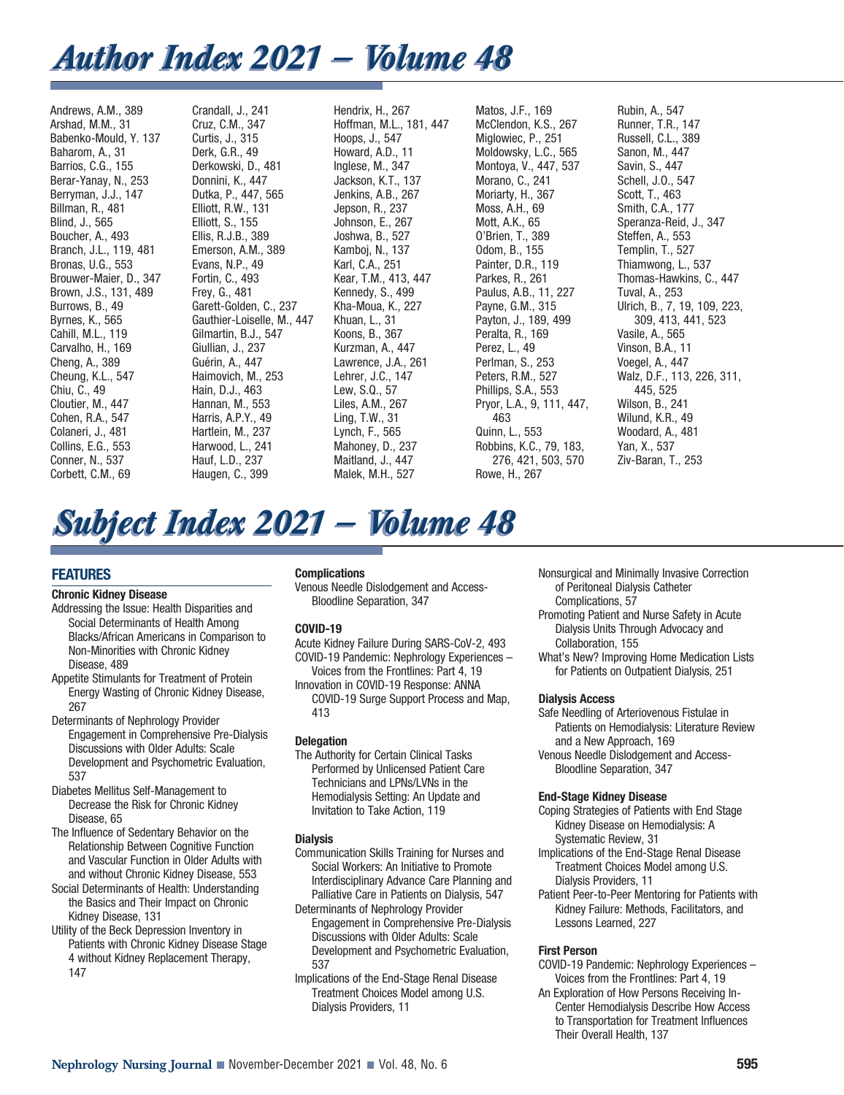## *Author Index 2021 — Volume 48 Author Index 2021 — Volume 48*

Andrews, A.M., 389 Arshad, M.M., 31 Babenko-Mould, Y. 137 Baharom, A., 31 Barrios, C.G., 155 Berar-Yanay, N., 253 Berryman, J.J., 147 Billman, R., 481 Blind, J., 565 Boucher, A., 493 Branch, J.L., 119, 481 Bronas, U.G., 553 Brouwer-Maier, D., 347 Brown, J.S., 131, 489 Burrows, B., 49 Byrnes, K., 565 Cahill, M.L., 119 Carvalho, H., 169 Cheng, A., 389 Cheung, K.L., 547 Chiu, C., 49 Cloutier, M., 447 Cohen, R.A., 547 Colaneri, J., 481 Collins, E.G., 553 Conner, N., 537 Corbett, C.M., 69

Crandall, J., 241 Cruz, C.M., 347 Curtis, J., 315 Derk, G.R., 49 Derkowski, D., 481 Donnini, K., 447 Dutka, P., 447, 565 Elliott, R.W., 131 Elliott, S., 155 Ellis, R.J.B., 389 Emerson, A.M., 389 Evans, N.P., 49 Fortin, C., 493 Frey, G., 481 Garett-Golden, C., 237 Gauthier-Loiselle, M., 447 Gilmartin, B.J., 547 Giullian, J., 237 Guérin, A., 447 Haimovich, M., 253 Hain, D.J., 463 Hannan, M., 553 Harris, A.P.Y., 49 Hartlein, M., 237 Harwood, L., 241 Hauf, L.D., 237 Haugen, C., 399

Hendrix, H., 267 Hoffman, M.L., 181, 447 Hoops, J., 547 Howard, A.D., 11 Inglese, M., 347 Jackson, K.T., 137 Jenkins, A.B., 267 Jepson, R., 237 Johnson, E., 267 Joshwa, B., 527 Kamboj, N., 137 Karl, C.A., 251 Kear, T.M., 413, 447 Kennedy, S., 499 Kha-Moua, K., 227 Khuan, L., 31 Koons, B., 367 Kurzman, A., 447 Lawrence, J.A., 261 Lehrer, J.C., 147 Lew, S.Q., 57 Liles, A.M., 267 Ling, T.W., 31 Lynch, F., 565 Mahoney, D., 237 Maitland, J., 447 Malek, M.H., 527

Matos, J.F., 169 McClendon, K.S., 267 Miglowiec, P., 251 Moldowsky, L.C., 565 Montoya, V., 447, 537 Morano, C., 241 Moriarty, H., 367 Moss, A.H., 69 Mott, A.K., 65 O'Brien, T., 389 Odom, B., 155 Painter, D.R., 119 Parkes, R., 261 Paulus, A.B., 11, 227 Payne, G.M., 315 Payton, J., 189, 499 Peralta, R., 169 Perez, L., 49 Perlman, S., 253 Peters, R.M., 527 Phillips, S.A., 553 Pryor, L.A., 9, 111, 447, 463 Quinn, L., 553 Robbins, K.C., 79, 183, 276, 421, 503, 570 Rowe, H., 267

Rubin, A., 547 Runner, T.R., 147 Russell, C.L., 389 Sanon, M., 447 Savin, S., 447 Schell, J.O., 547 Scott, T., 463 Smith, C.A., 177 Speranza-Reid, J., 347 Steffen, A., 553 Templin, T., 527 Thiamwong, L., 537 Thomas-Hawkins, C., 447 Tuval, A., 253 Ulrich, B., 7, 19, 109, 223, 309, 413, 441, 523 Vasile, A., 565 Vinson, B.A., 11 Voegel, A., 447 Walz, D.F., 113, 226, 311, 445, 525 Wilson, B., 241 Wilund, K.R., 49 Woodard, A., 481 Yan, X., 537 Ziv-Baran, T., 253

# *Subject Index 2021 — Volume 48 Subject Index 2021 — Volume 48*

## **FEATURES**

## **Chronic Kidney Disease**

- Addressing the Issue: Health Disparities and Social Determinants of Health Among Blacks/African Americans in Comparison to Non-Minorities with Chronic Kidney Disease, 489
- Appetite Stimulants for Treatment of Protein Energy Wasting of Chronic Kidney Disease, 267
- Determinants of Nephrology Provider Engagement in Comprehensive Pre-Dialysis Discussions with Older Adults: Scale Development and Psychometric Evaluation,
- 537 Diabetes Mellitus Self-Management to Decrease the Risk for Chronic Kidney Disease, 65
- The Influence of Sedentary Behavior on the Relationship Between Cognitive Function and Vascular Function in Older Adults with and without Chronic Kidney Disease, 553
- Social Determinants of Health: Understanding the Basics and Their Impact on Chronic Kidney Disease, 131
- Utility of the Beck Depression Inventory in Patients with Chronic Kidney Disease Stage 4 without Kidney Replacement Therapy, 147

## **Complications**

Venous Needle Dislodgement and Access-Bloodline Separation, 347

## **COVID-19**

- Acute Kidney Failure During SARS-CoV-2, 493 COVID-19 Pandemic: Nephrology Experiences – Voices from the Frontlines: Part 4, 19
- Innovation in COVID-19 Response: ANNA COVID-19 Surge Support Process and Map, 413

## **Delegation**

The Authority for Certain Clinical Tasks Performed by Unlicensed Patient Care Technicians and LPNs/LVNs in the Hemodialysis Setting: An Update and Invitation to Take Action, 119

## **Dialysis**

- Communication Skills Training for Nurses and Social Workers: An Initiative to Promote Interdisciplinary Advance Care Planning and Palliative Care in Patients on Dialysis, 547
- Determinants of Nephrology Provider Engagement in Comprehensive Pre-Dialysis Discussions with Older Adults: Scale Development and Psychometric Evaluation, 537
- Implications of the End-Stage Renal Disease Treatment Choices Model among U.S. Dialysis Providers, 11
- Nonsurgical and Minimally Invasive Correction of Peritoneal Dialysis Catheter
- Complications, 57 Promoting Patient and Nurse Safety in Acute Dialysis Units Through Advocacy and
- Collaboration, 155
- What's New? Improving Home Medication Lists for Patients on Outpatient Dialysis, 251

## **Dialysis Access**

- Safe Needling of Arteriovenous Fistulae in Patients on Hemodialysis: Literature Review and a New Approach, 169
- Venous Needle Dislodgement and Access-Bloodline Separation, 347

## **End-Stage Kidney Disease**

- Coping Strategies of Patients with End Stage Kidney Disease on Hemodialysis: A Systematic Review, 31
- Implications of the End-Stage Renal Disease Treatment Choices Model among U.S. Dialysis Providers, 11
- Patient Peer-to-Peer Mentoring for Patients with Kidney Failure: Methods, Facilitators, and Lessons Learned, 227

## **First Person**

- COVID-19 Pandemic: Nephrology Experiences Voices from the Frontlines: Part 4, 19
- An Exploration of How Persons Receiving In-Center Hemodialysis Describe How Access to Transportation for Treatment Influences Their Overall Health, 137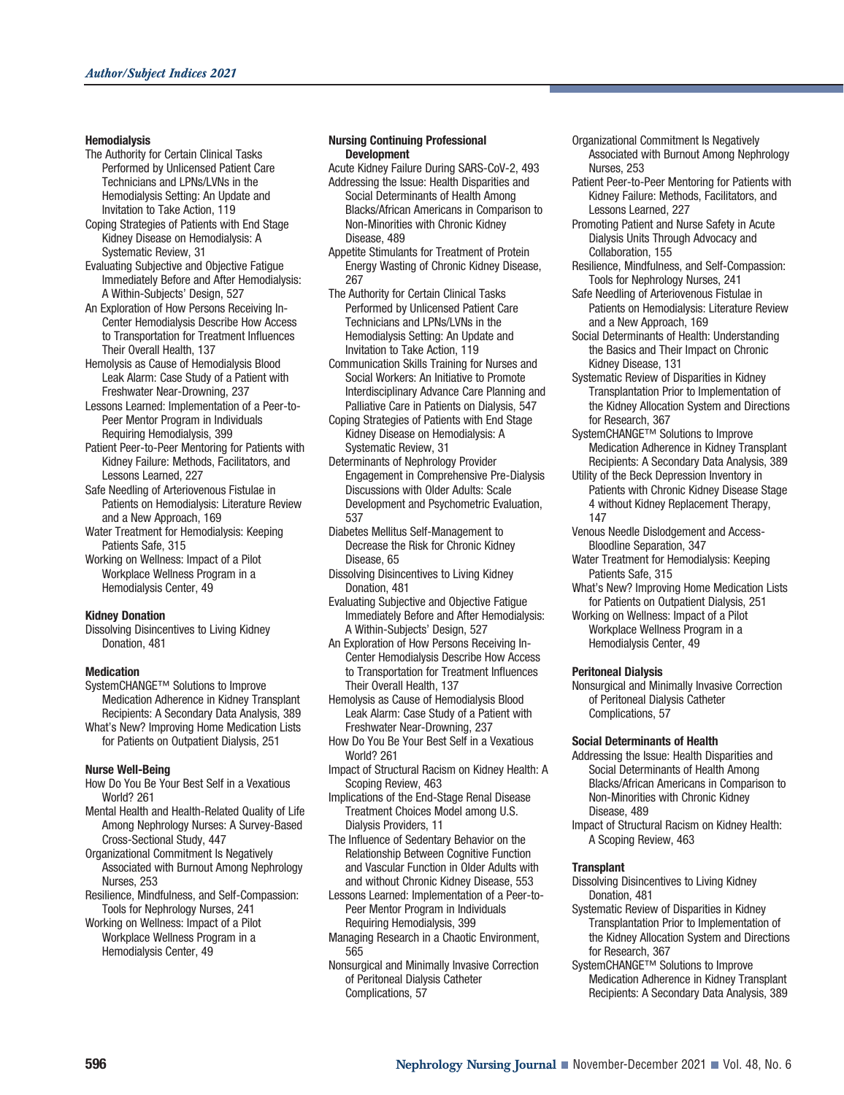#### **Hemodialysis**

- The Authority for Certain Clinical Tasks Performed by Unlicensed Patient Care Technicians and LPNs/LVNs in the Hemodialysis Setting: An Update and Invitation to Take Action, 119
- Coping Strategies of Patients with End Stage Kidney Disease on Hemodialysis: A Systematic Review, 31
- Evaluating Subjective and Objective Fatigue Immediately Before and After Hemodialysis: A Within-Subjects' Design, 527
- An Exploration of How Persons Receiving In-Center Hemodialysis Describe How Access to Transportation for Treatment Influences Their Overall Health, 137
- Hemolysis as Cause of Hemodialysis Blood Leak Alarm: Case Study of a Patient with Freshwater Near-Drowning, 237
- Lessons Learned: Implementation of a Peer-to-Peer Mentor Program in Individuals Requiring Hemodialysis, 399
- Patient Peer-to-Peer Mentoring for Patients with Kidney Failure: Methods, Facilitators, and Lessons Learned, 227
- Safe Needling of Arteriovenous Fistulae in Patients on Hemodialysis: Literature Review and a New Approach, 169
- Water Treatment for Hemodialysis: Keeping Patients Safe, 315
- Working on Wellness: Impact of a Pilot Workplace Wellness Program in a Hemodialysis Center, 49

#### **Kidney Donation**

Dissolving Disincentives to Living Kidney Donation, 481

#### **Medication**

- SystemCHANGE™ Solutions to Improve Medication Adherence in Kidney Transplant Recipients: A Secondary Data Analysis, 389 What's New? Improving Home Medication Lists
- for Patients on Outpatient Dialysis, 251

#### **Nurse Well-Being**

- How Do You Be Your Best Self in a Vexatious World? 261
- Mental Health and Health-Related Quality of Life Among Nephrology Nurses: A Survey-Based Cross-Sectional Study, 447
- Organizational Commitment Is Negatively Associated with Burnout Among Nephrology Nurses, 253
- Resilience, Mindfulness, and Self-Compassion: Tools for Nephrology Nurses, 241
- Working on Wellness: Impact of a Pilot Workplace Wellness Program in a Hemodialysis Center, 49

#### **Nursing Continuing Professional Development**

- Acute Kidney Failure During SARS-CoV-2, 493
- Addressing the Issue: Health Disparities and Social Determinants of Health Among Blacks/African Americans in Comparison to Non-Minorities with Chronic Kidney Disease, 489
- Appetite Stimulants for Treatment of Protein Energy Wasting of Chronic Kidney Disease, 267
- The Authority for Certain Clinical Tasks Performed by Unlicensed Patient Care Technicians and LPNs/LVNs in the Hemodialysis Setting: An Update and Invitation to Take Action, 119
- Communication Skills Training for Nurses and Social Workers: An Initiative to Promote Interdisciplinary Advance Care Planning and Palliative Care in Patients on Dialysis, 547
- Coping Strategies of Patients with End Stage Kidney Disease on Hemodialysis: A Systematic Review, 31
- Determinants of Nephrology Provider Engagement in Comprehensive Pre-Dialysis Discussions with Older Adults: Scale Development and Psychometric Evaluation, 537
- Diabetes Mellitus Self-Management to Decrease the Risk for Chronic Kidney Disease, 65
- Dissolving Disincentives to Living Kidney Donation, 481
- Evaluating Subjective and Objective Fatigue Immediately Before and After Hemodialysis: A Within-Subjects' Design, 527
- An Exploration of How Persons Receiving In-Center Hemodialysis Describe How Access to Transportation for Treatment Influences Their Overall Health, 137
- Hemolysis as Cause of Hemodialysis Blood Leak Alarm: Case Study of a Patient with Freshwater Near-Drowning, 237
- How Do You Be Your Best Self in a Vexatious World? 261
- Impact of Structural Racism on Kidney Health: A Scoping Review, 463
- Implications of the End-Stage Renal Disease Treatment Choices Model among U.S. Dialysis Providers, 11
- The Influence of Sedentary Behavior on the Relationship Between Cognitive Function and Vascular Function in Older Adults with and without Chronic Kidney Disease, 553
- Lessons Learned: Implementation of a Peer-to-Peer Mentor Program in Individuals Requiring Hemodialysis, 399
- Managing Research in a Chaotic Environment, 565
- Nonsurgical and Minimally Invasive Correction of Peritoneal Dialysis Catheter Complications, 57
- Organizational Commitment Is Negatively Associated with Burnout Among Nephrology Nurses, 253
- Patient Peer-to-Peer Mentoring for Patients with Kidney Failure: Methods, Facilitators, and Lessons Learned, 227
- Promoting Patient and Nurse Safety in Acute Dialysis Units Through Advocacy and Collaboration, 155
- Resilience, Mindfulness, and Self-Compassion: Tools for Nephrology Nurses, 241
- Safe Needling of Arteriovenous Fistulae in Patients on Hemodialysis: Literature Review and a New Approach, 169
- Social Determinants of Health: Understanding the Basics and Their Impact on Chronic Kidney Disease, 131
- Systematic Review of Disparities in Kidney Transplantation Prior to Implementation of the Kidney Allocation System and Directions for Research, 367
- SystemCHANGE™ Solutions to Improve Medication Adherence in Kidney Transplant Recipients: A Secondary Data Analysis, 389
- Utility of the Beck Depression Inventory in Patients with Chronic Kidney Disease Stage 4 without Kidney Replacement Therapy, 147
- Venous Needle Dislodgement and Access-Bloodline Separation, 347
- Water Treatment for Hemodialysis: Keeping Patients Safe, 315
- What's New? Improving Home Medication Lists for Patients on Outpatient Dialysis, 251
- Working on Wellness: Impact of a Pilot Workplace Wellness Program in a Hemodialysis Center, 49

#### **Peritoneal Dialysis**

Nonsurgical and Minimally Invasive Correction of Peritoneal Dialysis Catheter Complications, 57

#### **Social Determinants of Health**

- Addressing the Issue: Health Disparities and Social Determinants of Health Among Blacks/African Americans in Comparison to Non-Minorities with Chronic Kidney Disease, 489
- Impact of Structural Racism on Kidney Health: A Scoping Review, 463

#### **Transplant**

- Dissolving Disincentives to Living Kidney Donation, 481
- Systematic Review of Disparities in Kidney Transplantation Prior to Implementation of the Kidney Allocation System and Directions for Research, 367
- SystemCHANGE™ Solutions to Improve Medication Adherence in Kidney Transplant Recipients: A Secondary Data Analysis, 389